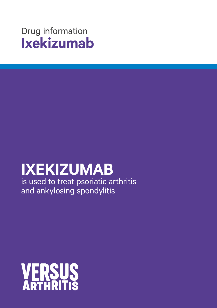# Drug information **Ixekizumab**

# **IXEKIZUMAB**

is used to treat psoriatic arthritis and ankylosing spondylitis

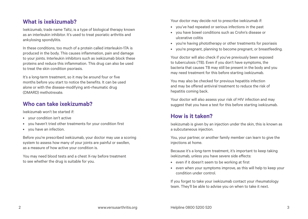#### **What is ixekizumab?**

Ixekizumab, trade name Taltz, is a type of biological therapy known as an interleukin inhibitor. It's used to treat psoriatic arthritis and ankylosing spondylitis.

In these conditions, too much of a protein called interleukin-17A is produced in the body. This causes inflammation, pain and damage to your joints. Interleukin inhibitors such as ixekizumab block these proteins and reduce this inflammation. This drug can also be used to treat the skin condition psoriasis.

It's a long-term treatment, so it may be around four or five months before you start to notice the benefits. It can be used alone or with the disease-modifying anti-rheumatic drug (DMARD) methotrexate.

## **Who can take ixekizumab?**

Ixekizumab won't be started if:

- your condition isn't active
- you haven't tried other treatments for your condition first
- you have an infection.

Before you're prescribed ixekizumab, your doctor may use a scoring system to assess how many of your joints are painful or swollen, as a measure of how active your condition is.

You may need blood tests and a chest X-ray before treatment to see whether the drug is suitable for you.

Your doctor may decide not to prescribe ixekizumab if:

- you've had repeated or serious infections in the past
- you have bowel conditions such as Crohn's disease or ulcerative colitis
- you're having phototherapy or other treatments for psoriasis
- you're pregnant, planning to become pregnant, or breastfeeding.

Your doctor will also check if you've previously been exposed to tuberculosis (TB). Even if you don't have symptoms, the bacteria that causes TB may still be present in the body and you may need treatment for this before starting ixekizumab.

You may also be checked for previous hepatitis infection and may be offered antiviral treatment to reduce the risk of hepatitis coming back.

Your doctor will also assess your risk of HIV infection and may suggest that you have a test for this before starting ixekizumab.

## **How is it taken?**

Ixekizumab is given by an injection under the skin, this is known as a subcutaneous injection.

You, your partner, or another family member can learn to give the injections at home.

Because it's a long-term treatment, it's important to keep taking ixekizumab, unless you have severe side effects:

- even if it doesn't seem to be working at first
- even when your symptoms improve, as this will help to keep your condition under control.

If you forget to take your ixekizumab contact your rheumatology team. They'll be able to advise you on when to take it next.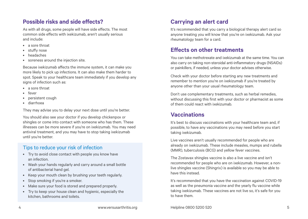#### **Possible risks and side effects?**

As with all drugs, some people will have side effects. The most common side effects with ixekizumab, aren't usually serious and include:

- a sore throat
- stuffy nose
- headaches
- soreness around the injection site.

Because ixekizumab affects the immune system, it can make you more likely to pick up infections. It can also make them harder to spot. Speak to your healthcare team immediately if you develop any signs of infection such as:

- a sore throat
- fever
- persistent cough
- diarrhoea

They may advise you to delay your next dose until you're better.

You should also see your doctor if you develop chickenpox or shingles or come into contact with someone who has them. These illnesses can be more severe if you're on ixekizumab. You may need antiviral treatment, and you may have to stop taking ixekizumab until you're better.

#### Tips to reduce your risk of infection

- Try to avoid close contact with people you know have an infection.
- Wash your hands regularly and carry around a small bottle of antibacterial hand gel.
- Keep your mouth clean by brushing your teeth regularly.
- Stop smoking if you're a smoker.
- Make sure your food is stored and prepared properly.
- Try to keep your house clean and hygienic, especially the kitchen, bathrooms and toilets.

# **Carrying an alert card**

It's recommended that you carry a biological therapy alert card so anyone treating you will know that you're on ixekizumab. Ask your rheumatology team for a card.

## **Effects on other treatments**

You can take methotrexate and ixekizumab at the same time. You can also carry on taking non-steroidal anti-inflammatory drugs (NSAIDs) or painkillers, if needed, unless your doctor advises otherwise.

Check with your doctor before starting any new treatments and remember to mention you're on ixekizumab if you're treated by anyone other than your usual rheumatology team.

Don't use complementary treatments, such as herbal remedies, without discussing this first with your doctor or pharmacist as some of them could react with ixekizumab.

## **Vaccinations**

It's best to discuss vaccinations with your healthcare team and, if possible, to have any vaccinations you may need before you start taking ixekizumab.

Live vaccines aren't usually recommended for people who are already on ixekizumab. These include measles, mumps and rubella (MMR), tuberculosis (BCG) and yellow fever vaccines.

The Zostavax shingles vaccine is also a live vaccine and isn't recommended for people who are on ixekizumab. However, a nonlive shingles vaccine (Shingrix) is available so you may be able to have this instead.

It's recommended that you have the vaccination against COVID-19 as well as the pneumonia vaccine and the yearly flu vaccine while taking ixekizumab. These vaccines are not live so, it's safe for you to have them.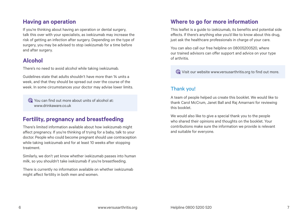#### **Having an operation**

If you're thinking about having an operation or dental surgery, talk this over with your specialists, as ixekizumab may increase the risk of getting an infection after surgery. Depending on the type of surgery, you may be advised to stop ixekizumab for a time before and after surgery.

# **Alcohol**

There's no need to avoid alcohol while taking ixekizumab.

Guidelines state that adults shouldn't have more than 14 units a week, and that they should be spread out over the course of the week. In some circumstances your doctor may advise lower limits.

You can find out more about units of alcohol at: [www.drinkaware.co.uk](http://www.drinkaware.co.uk) 

## **Fertility, pregnancy and breastfeeding**

There's limited information available about how ixekizumab might affect pregnancy. If you're thinking of trying for a baby, talk to your doctor. People who could become pregnant should use contraception while taking ixekizumab and for at least 10 weeks after stopping treatment.

Similarly, we don't yet know whether ixekizumab passes into human milk, so you shouldn't take ixekizumab if you're breastfeeding.

There is currently no information available on whether ixekizumab might affect fertility in both men and women.

# **Where to go for more information**

This leaflet is a guide to izekizumab, its benefits and potential side effects. If there's anything else you'd like to know about this drug, just ask the healthcare professionals in charge of your care.

You can also call our free helpline on 08005200520, where our trained advisors can offer support and advice on your type of arthritis.

Visit our website www.versusarthritis.org to find out more.

#### Thank you!

A team of people helped us create this booklet. We would like to thank Carol McCrum, Janet Ball and Raj Amarnani for reviewing this booklet.

We would also like to give a special thank you to the people who shared their opinions and thoughts on the booklet. Your contributions make sure the information we provide is relevant and suitable for everyone.